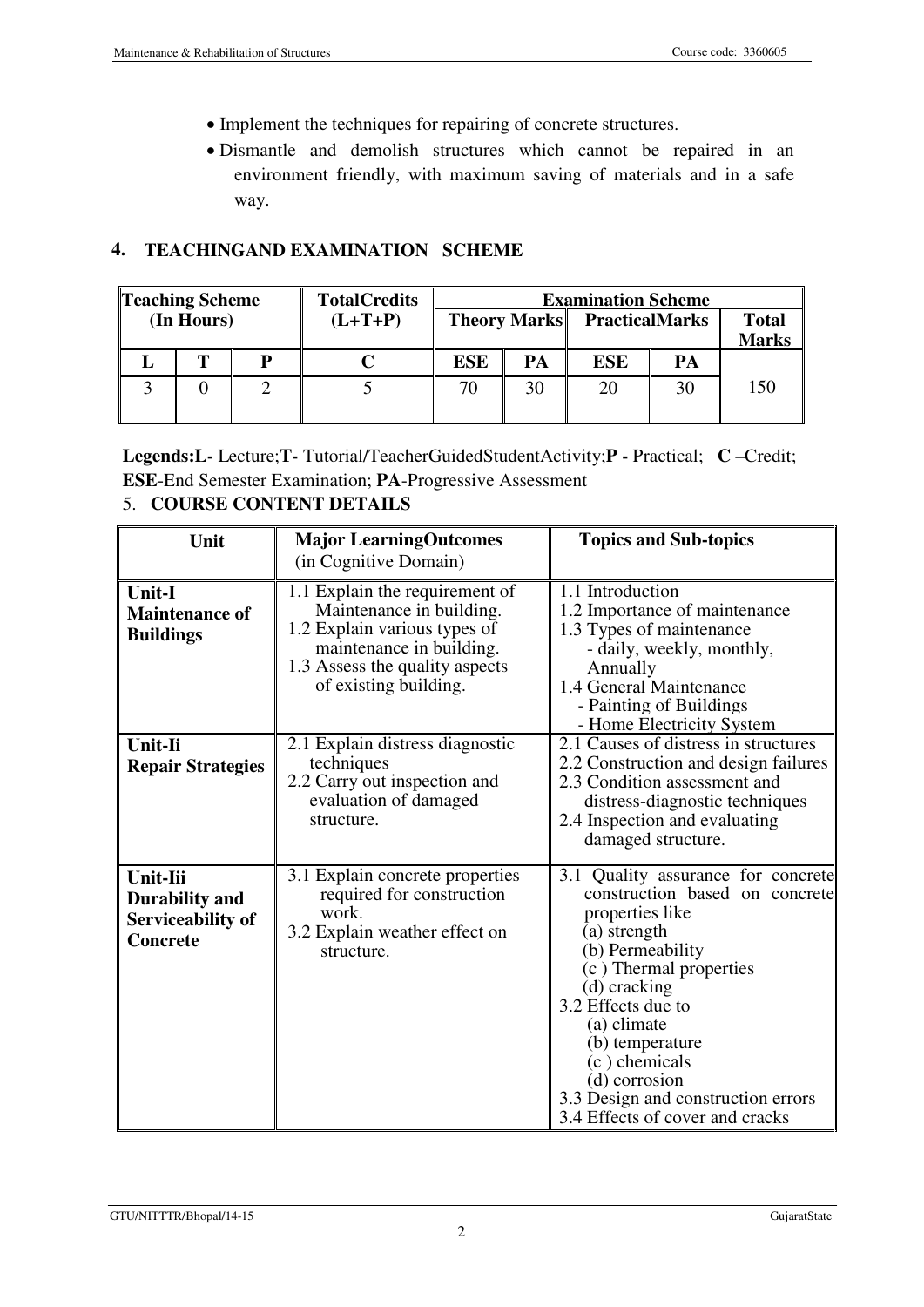- Implement the techniques for repairing of concrete structures.
- Dismantle and demolish structures which cannot be repaired in an environment friendly, with maximum saving of materials and in a safe way.

## 4. TEACHINGAND EXAMINATION SCHEME

| <b>Teaching Scheme</b> |  |           | <b>TotalCredits</b> | <b>Examination Scheme</b> |                                    |            |                              |     |
|------------------------|--|-----------|---------------------|---------------------------|------------------------------------|------------|------------------------------|-----|
| (In Hours)             |  | $(L+T+P)$ |                     |                           | <b>Theory Marks</b> PracticalMarks |            | <b>Total</b><br><b>Marks</b> |     |
|                        |  |           |                     | <b>ESE</b>                | PA                                 | <b>ESE</b> | PA                           |     |
|                        |  |           |                     | 70                        | 30                                 | 20         | 30                           | 150 |

Legends:L- Lecture;T- Tutorial/TeacherGuidedStudentActivity;P - Practical; C **–**Credit; ESE-End Semester Examination; PA-Progressive Assessment

## 5. COURSE CONTENT DETAILS

| Unit                                                                             | <b>Major LearningOutcomes</b>                                                                                                                                                     | <b>Topics and Sub-topics</b>                                                                                                                                                                                                                                                                                                             |  |  |
|----------------------------------------------------------------------------------|-----------------------------------------------------------------------------------------------------------------------------------------------------------------------------------|------------------------------------------------------------------------------------------------------------------------------------------------------------------------------------------------------------------------------------------------------------------------------------------------------------------------------------------|--|--|
|                                                                                  | (in Cognitive Domain)                                                                                                                                                             |                                                                                                                                                                                                                                                                                                                                          |  |  |
| Unit-I<br><b>Maintenance of</b><br><b>Buildings</b>                              | 1.1 Explain the requirement of<br>Maintenance in building.<br>1.2 Explain various types of<br>maintenance in building.<br>1.3 Assess the quality aspects<br>of existing building. | 1.1 Introduction<br>1.2 Importance of maintenance<br>1.3 Types of maintenance<br>- daily, weekly, monthly,<br>Annually<br>1.4 General Maintenance<br>- Painting of Buildings<br>- Home Electricity System                                                                                                                                |  |  |
| Unit-Ii<br><b>Repair Strategies</b>                                              | 2.1 Explain distress diagnostic<br>techniques<br>2.2 Carry out inspection and<br>evaluation of damaged<br>structure.                                                              | 2.1 Causes of distress in structures<br>2.2 Construction and design failures<br>2.3 Condition assessment and<br>distress-diagnostic techniques<br>2.4 Inspection and evaluating<br>damaged structure.                                                                                                                                    |  |  |
| <b>Unit-Iii</b><br><b>Durability and</b><br>Serviceability of<br><b>Concrete</b> | 3.1 Explain concrete properties<br>required for construction<br>work.<br>3.2 Explain weather effect on<br>structure.                                                              | 3.1 Quality assurance for concrete<br>construction based on concrete<br>properties like<br>(a) strength<br>(b) Permeability<br>(c) Thermal properties<br>(d) cracking<br>3.2 Effects due to<br>(a) climate<br>(b) temperature<br>(c) chemicals<br>(d) corrosion<br>3.3 Design and construction errors<br>3.4 Effects of cover and cracks |  |  |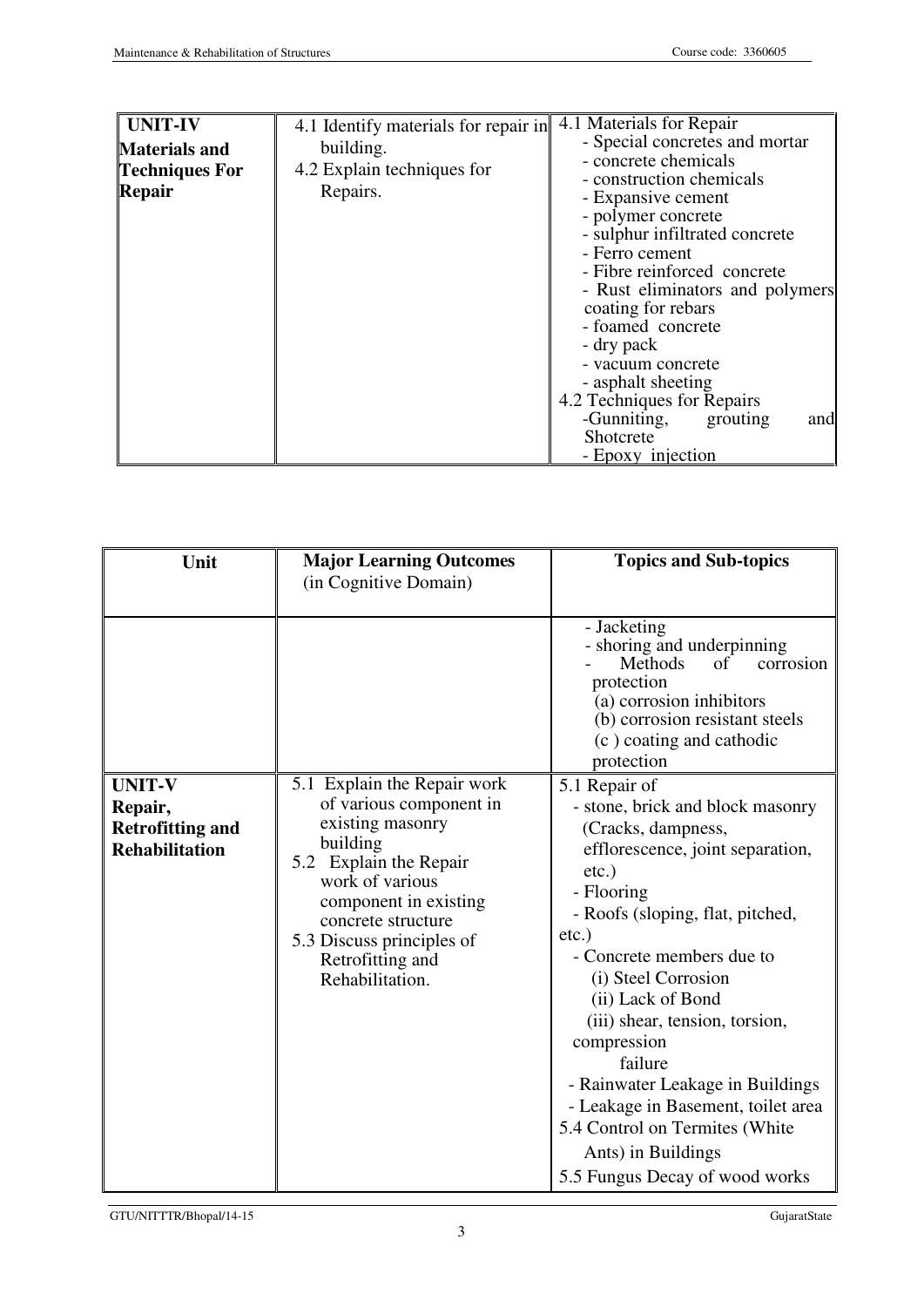| <b>UNIT-IV</b><br><b>Materials and</b><br><b>Techniques For</b><br>Repair | 4.1 Identify materials for repair in<br>building.<br>4.2 Explain techniques for<br>Repairs. | 4.1 Materials for Repair<br>- Special concretes and mortar<br>- concrete chemicals<br>- construction chemicals<br>- Expansive cement<br>- polymer concrete<br>- sulphur infiltrated concrete<br>- Ferro cement<br>- Fibre reinforced concrete<br>- Rust eliminators and polymers<br>coating for rebars<br>- foamed concrete<br>- dry pack<br>- vacuum concrete<br>- asphalt sheeting<br>4.2 Techniques for Repairs<br>-Gunniting,<br>grouting<br>and<br>Shotcrete<br>- Epoxy injection |
|---------------------------------------------------------------------------|---------------------------------------------------------------------------------------------|----------------------------------------------------------------------------------------------------------------------------------------------------------------------------------------------------------------------------------------------------------------------------------------------------------------------------------------------------------------------------------------------------------------------------------------------------------------------------------------|
|---------------------------------------------------------------------------|---------------------------------------------------------------------------------------------|----------------------------------------------------------------------------------------------------------------------------------------------------------------------------------------------------------------------------------------------------------------------------------------------------------------------------------------------------------------------------------------------------------------------------------------------------------------------------------------|

| Unit                                                                         | <b>Major Learning Outcomes</b><br>(in Cognitive Domain)                                                                                                                                                                                                | <b>Topics and Sub-topics</b>                                                                                                                                                                                                                                                                                                                                                                                                                                                                   |  |  |
|------------------------------------------------------------------------------|--------------------------------------------------------------------------------------------------------------------------------------------------------------------------------------------------------------------------------------------------------|------------------------------------------------------------------------------------------------------------------------------------------------------------------------------------------------------------------------------------------------------------------------------------------------------------------------------------------------------------------------------------------------------------------------------------------------------------------------------------------------|--|--|
|                                                                              |                                                                                                                                                                                                                                                        | - Jacketing<br>- shoring and underpinning<br>Methods<br>of<br>corrosion<br>protection<br>(a) corrosion inhibitors<br>(b) corrosion resistant steels<br>(c) coating and cathodic<br>protection                                                                                                                                                                                                                                                                                                  |  |  |
| <b>UNIT-V</b><br>Repair,<br><b>Retrofitting and</b><br><b>Rehabilitation</b> | 5.1 Explain the Repair work<br>of various component in<br>existing masonry<br>building<br>5.2 Explain the Repair<br>work of various<br>component in existing<br>concrete structure<br>5.3 Discuss principles of<br>Retrofitting and<br>Rehabilitation. | 5.1 Repair of<br>- stone, brick and block masonry<br>(Cracks, dampness,<br>efflorescence, joint separation,<br>$etc.$ )<br>- Flooring<br>- Roofs (sloping, flat, pitched,<br>$etc.$ )<br>- Concrete members due to<br>(i) Steel Corrosion<br>(ii) Lack of Bond<br>(iii) shear, tension, torsion,<br>compression<br>failure<br>- Rainwater Leakage in Buildings<br>- Leakage in Basement, toilet area<br>5.4 Control on Termites (White<br>Ants) in Buildings<br>5.5 Fungus Decay of wood works |  |  |